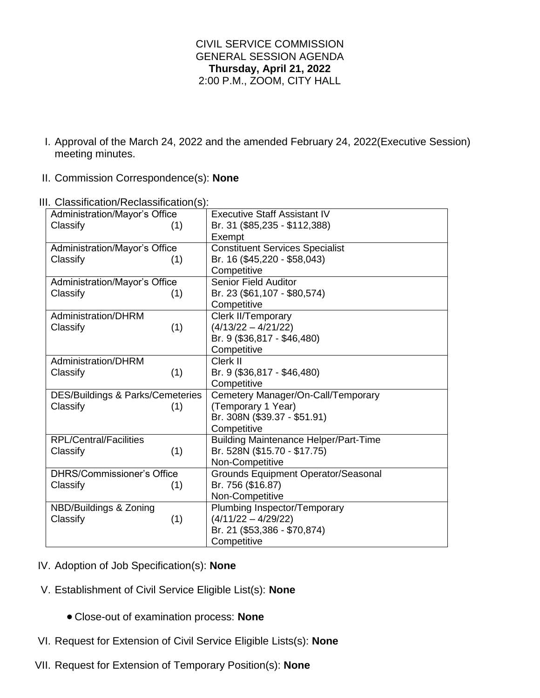## CIVIL SERVICE COMMISSION GENERAL SESSION AGENDA **Thursday, April 21, 2022** 2:00 P.M., ZOOM, CITY HALL

- I. Approval of the March 24, 2022 and the amended February 24, 2022(Executive Session) meeting minutes.
- II. Commission Correspondence(s): **None**

| Administration/Mayor's Office               | <b>Executive Staff Assistant IV</b>          |
|---------------------------------------------|----------------------------------------------|
| Classify<br>(1)                             | Br. 31 (\$85,235 - \$112,388)                |
|                                             | Exempt                                       |
| Administration/Mayor's Office               | <b>Constituent Services Specialist</b>       |
| Classify<br>(1)                             | Br. 16 (\$45,220 - \$58,043)                 |
|                                             | Competitive                                  |
| Administration/Mayor's Office               | <b>Senior Field Auditor</b>                  |
| Classify<br>(1)                             | Br. 23 (\$61,107 - \$80,574)                 |
|                                             | Competitive                                  |
| Administration/DHRM                         | Clerk II/Temporary                           |
| (1)<br>Classify                             | $(4/13/22 - 4/21/22)$                        |
|                                             | Br. 9 (\$36,817 - \$46,480)                  |
|                                             | Competitive                                  |
| Administration/DHRM                         | Clerk II                                     |
| (1)<br>Classify                             | Br. 9 (\$36,817 - \$46,480)                  |
|                                             | Competitive                                  |
| <b>DES/Buildings &amp; Parks/Cemeteries</b> | Cemetery Manager/On-Call/Temporary           |
| Classify<br>(1)                             | (Temporary 1 Year)                           |
|                                             | Br. 308N (\$39.37 - \$51.91)                 |
|                                             | Competitive                                  |
| <b>RPL/Central/Facilities</b>               | <b>Building Maintenance Helper/Part-Time</b> |
| (1)<br>Classify                             | Br. 528N (\$15.70 - \$17.75)                 |
|                                             | Non-Competitive                              |
| <b>DHRS/Commissioner's Office</b>           | Grounds Equipment Operator/Seasonal          |
| Classify<br>(1)                             | Br. 756 (\$16.87)                            |
|                                             | Non-Competitive                              |
| NBD/Buildings & Zoning                      | Plumbing Inspector/Temporary                 |
| Classify<br>(1)                             | $(4/11/22 - 4/29/22)$                        |
|                                             | Br. 21 (\$53,386 - \$70,874)                 |
|                                             | Competitive                                  |

III. Classification/Reclassification(s):

- IV. Adoption of Job Specification(s): **None**
- V. Establishment of Civil Service Eligible List(s): **None**
	- Close-out of examination process: **None**
- VI. Request for Extension of Civil Service Eligible Lists(s): **None**
- VII. Request for Extension of Temporary Position(s): **None**